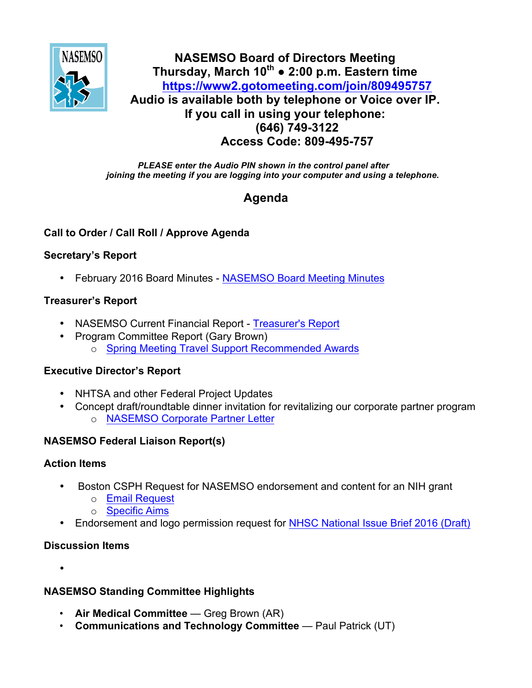

## **NASEMSO Board of Directors Meeting Thursday, March 10th ● 2:00 p.m. Eastern time <https://www2.gotomeeting.com/join/809495757> Audio is available both by telephone or Voice over IP. If you call in using your telephone: (646) 749-3122 Access Code: 809-495-757**

*PLEASE enter the Audio PIN shown in the control panel after joining the meeting if you are logging into your computer and using a telephone.*

# **Agenda**

## **Call to Order / Call Roll / Approve Agenda**

## **Secretary's Report**

• February 2016 Board Minutes - [NASEMSO Board Meeting Minutes](https://www.nasemso.org/Members/Board/documents/NASEMSO-Board-Minutes-11Feb2016.pdf)

## **Treasurer's Report**

- NASEMSO Current Financial Report [Treasurer's Report](https://www.nasemso.org/Members/Board/documents/NASEMSO-Treasurers-Report-29Feb2016.xlsx)
- Program Committee Report (Gary Brown) o [Spring Meeting Travel Support Recommended Awards](https://www.nasemso.org/Members/Board/documents/Travel-Support-Requests-2016-Spring-Meeting-10Mar2016.xlsx)

## **Executive Director's Report**

- NHTSA and other Federal Project Updates
- Concept draft/roundtable dinner invitation for revitalizing our corporate partner program o [NASEMSO Corporate Partner Letter](https://www.nasemso.org/Members/Board/documents/NASEMSO-Corporate-Partner-Letter-07Mar2016.pdf)

## **NASEMSO Federal Liaison Report(s)**

#### **Action Items**

- Boston CSPH Request for NASEMSO endorsement and content for an NIH grant
	- o [Email Request](https://www.nasemso.org/Members/Board/documents/Boston-CSPH-Email-Request.pdf)
	- o [Specific Aims](https://www.nasemso.org/Members/Board/documents/Boston-CSPH-Specific-Aims.pdf)
- Endorsement and logo permission request for [NHSC National Issue Brief 2016 \(Draft\)](https://www.nasemso.org/Members/Board/documents/NHSC-National-Issue-Brief-2016-vetting-draft.pdf)

## **Discussion Items**

•

# **NASEMSO Standing Committee Highlights**

- **Air Medical Committee** Greg Brown (AR)
- **Communications and Technology Committee** Paul Patrick (UT)